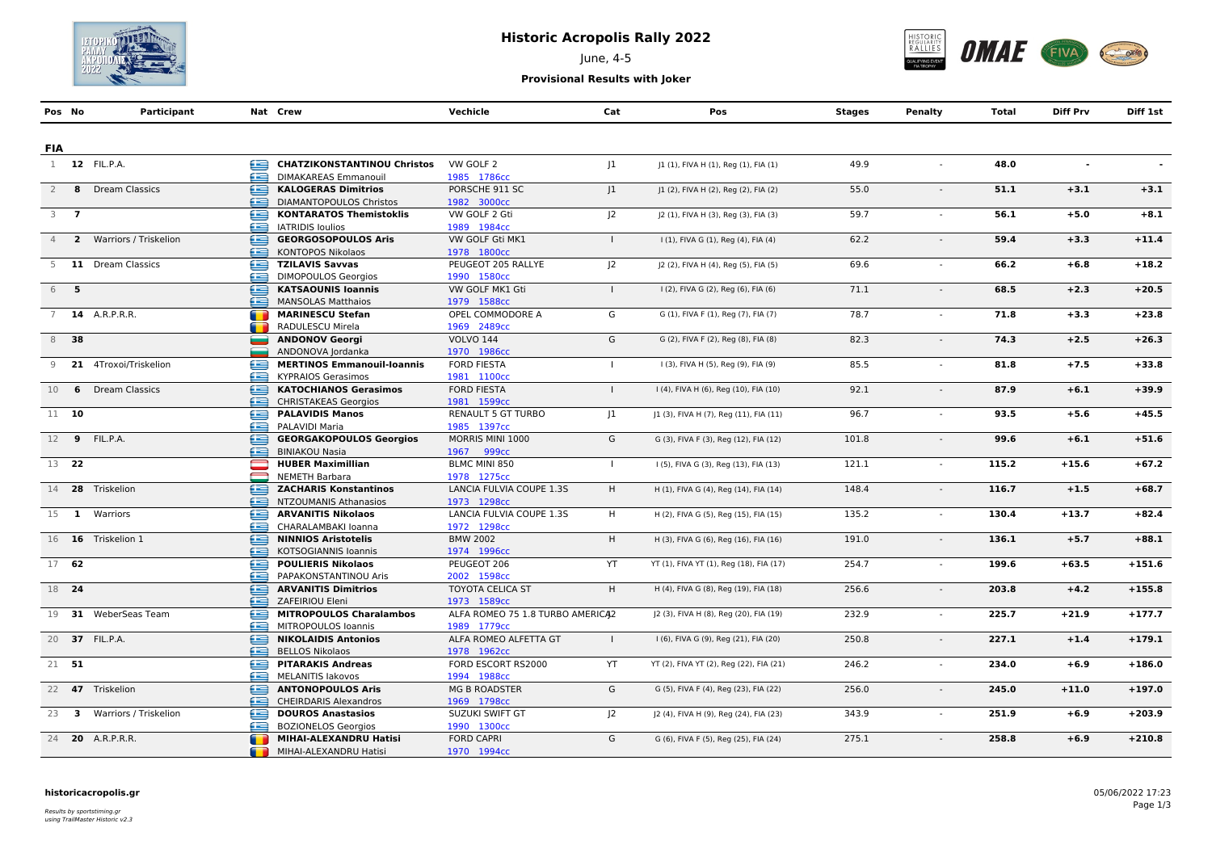

# **Historic Acropolis Rally 2022**

June, 4-5



**Provisional Results with Joker**

|                | Pos No           | Participant             |                              | Nat Crew                                                    | Vechicle                                 | Cat            | Pos                                     | Stages | Penalty | <b>Total</b> | <b>Diff Prv</b> | Diff 1st |
|----------------|------------------|-------------------------|------------------------------|-------------------------------------------------------------|------------------------------------------|----------------|-----------------------------------------|--------|---------|--------------|-----------------|----------|
|                |                  |                         |                              |                                                             |                                          |                |                                         |        |         |              |                 |          |
| <b>FIA</b>     |                  |                         |                              |                                                             |                                          |                |                                         |        |         |              |                 |          |
|                |                  | 1 12 FIL.P.A.           | £                            | <b>CHATZIKONSTANTINOU Christos</b>                          | VW GOLF 2                                | 1              | J1 (1), FIVA H (1), Reg (1), FIA (1)    | 49.9   |         | 48.0         | $\blacksquare$  |          |
|                |                  |                         |                              | <b>DIMAKAREAS Emmanouil</b>                                 | 1985 1786cc                              |                |                                         |        |         |              |                 |          |
| $\overline{2}$ |                  | 8 Dream Classics        | œ                            | <b>KALOGERAS Dimitrios</b>                                  | PORSCHE 911 SC                           | $ 1\rangle$    | J1 (2), FIVA H (2), Reg (2), FIA (2)    | 55.0   | $\sim$  | 51.1         | $+3.1$          | $+3.1$   |
|                |                  |                         | ≘                            | <b>DIAMANTOPOULOS Christos</b>                              | 1982 3000cc                              |                |                                         |        |         |              |                 |          |
|                | $3 \overline{7}$ |                         | e                            | <b>KONTARATOS Themistoklis</b>                              | VW GOLF 2 Gti                            | $ 2\rangle$    | [2 (1), FIVA H (3), Reg (3), FIA (3)    | 59.7   |         | 56.1         | $+5.0$          | $+8.1$   |
|                |                  |                         | æ                            | <b>IATRIDIS loulios</b>                                     | 1989 1984cc                              |                |                                         |        |         |              |                 |          |
| $\overline{4}$ |                  | 2 Warriors / Triskelion | £                            | <b>GEORGOSOPOULOS Aris</b>                                  | VW GOLF Gti MK1                          | $\mathbf{I}$   | I (1), FIVA G (1), Reg (4), FIA (4)     | 62.2   |         | 59.4         | $+3.3$          | $+11.4$  |
|                |                  |                         | æ                            | <b>KONTOPOS Nikolaos</b>                                    | 1978 1800cc                              |                |                                         |        |         |              |                 |          |
| 5              |                  | 11 Dream Classics       | œ                            | <b>TZILAVIS Savvas</b>                                      | PEUGEOT 205 RALLYE                       | J <sub>2</sub> | J2 (2), FIVA H (4), Reg (5), FIA (5)    | 69.6   |         | 66.2         | $+6.8$          | $+18.2$  |
|                |                  |                         | æ                            | <b>DIMOPOULOS Georgios</b>                                  | 1990 1580cc                              |                |                                         |        |         |              |                 |          |
|                | 6 5              |                         | ∈                            | <b>KATSAOUNIS Ioannis</b>                                   | VW GOLF MK1 Gti                          | $\mathbf{I}$   | I (2), FIVA G (2), Reg (6), FIA (6)     | 71.1   | $\sim$  | 68.5         | $+2.3$          | $+20.5$  |
|                |                  |                         | æ                            | <b>MANSOLAS Matthaios</b>                                   | 1979 1588cc                              |                |                                         |        |         |              |                 |          |
| 7              |                  | <b>14</b> A.R.P.R.R.    |                              | MARINESCU Stefan                                            | OPEL COMMODORE A                         | G              | G (1), FIVA F (1), Reg (7), FIA (7)     | 78.7   |         | 71.8         | $+3.3$          | $+23.8$  |
|                |                  |                         |                              | RADULESCU Mirela                                            | 1969 2489cc                              | G              |                                         |        |         |              |                 |          |
|                | 8 38             |                         |                              | <b>ANDONOV Georgi</b>                                       | <b>VOLVO 144</b>                         |                | G (2), FIVA F (2), Reg (8), FIA (8)     | 82.3   |         | 74.3         | $+2.5$          | $+26.3$  |
|                |                  |                         |                              | ANDONOVA Jordanka                                           | 1970 1986cc                              |                |                                         |        |         |              |                 |          |
| 9              |                  | 21 4Troxoi/Triskelion   | æ<br>æ                       | <b>MERTINOS Emmanouil-Ioannis</b>                           | <b>FORD FIESTA</b>                       | $\mathbf{I}$   | I (3), FIVA H (5), Reg (9), FIA (9)     | 85.5   | $\sim$  | 81.8         | $+7.5$          | $+33.8$  |
|                |                  |                         | œ                            | <b>KYPRAIOS Gerasimos</b>                                   | 1981 1100cc                              | $\mathbf{I}$   |                                         |        |         |              |                 |          |
| 10             | 6                | <b>Dream Classics</b>   | œ                            | <b>KATOCHIANOS Gerasimos</b><br><b>CHRISTAKEAS Georgios</b> | <b>FORD FIESTA</b>                       |                | I (4), FIVA H (6), Reg (10), FIA (10)   | 92.1   |         | 87.9         | $+6.1$          | $+39.9$  |
| 11 10          |                  |                         | œ                            | <b>PALAVIDIS Manos</b>                                      | 1981 1599cc<br><b>RENAULT 5 GT TURBO</b> | 1              | J1 (3), FIVA H (7), Reg (11), FIA (11)  | 96.7   |         | 93.5         | $+5.6$          | $+45.5$  |
|                |                  |                         | £                            | PALAVIDI Maria                                              | 1985 1397cc                              |                |                                         |        |         |              |                 |          |
|                |                  | 12 9 FIL.P.A.           | ≘                            | <b>GEORGAKOPOULOS Georgios</b>                              | MORRIS MINI 1000                         | G              | G (3), FIVA F (3), Reg (12), FIA (12)   | 101.8  |         | 99.6         | $+6.1$          | $+51.6$  |
|                |                  |                         | æ                            | <b>BINIAKOU Nasia</b>                                       | 1967 999сс                               |                |                                         |        |         |              |                 |          |
| 13 22          |                  |                         |                              | <b>HUBER Maximillian</b>                                    | BLMC MINI 850                            | $\perp$        | I (5), FIVA G (3), Reg (13), FIA (13)   | 121.1  |         | 115.2        | $+15.6$         | $+67.2$  |
|                |                  |                         | $\qquad \qquad \blacksquare$ | <b>NEMETH Barbara</b>                                       | 1978 1275cc                              |                |                                         |        |         |              |                 |          |
|                |                  | 14 28 Triskelion        | œ                            | <b>ZACHARIS Konstantinos</b>                                | LANCIA FULVIA COUPE 1.3S                 | H              | H (1), FIVA G (4), Reg (14), FIA (14)   | 148.4  |         | 116.7        | $+1.5$          | $+68.7$  |
|                |                  |                         |                              | NTZOUMANIS Athanasios                                       | 1973 1298cc                              |                |                                         |        |         |              |                 |          |
|                |                  | 15 1 Warriors           | œ                            | <b>ARVANITIS Nikolaos</b>                                   | LANCIA FULVIA COUPE 1.3S                 | H              | H (2), FIVA G (5), Reg (15), FIA (15)   | 135.2  | $\sim$  | 130.4        | $+13.7$         | $+82.4$  |
|                |                  |                         | Æ                            | CHARALAMBAKI Ioanna                                         | 1972 1298cc                              |                |                                         |        |         |              |                 |          |
|                |                  | 16 16 Triskelion 1      | œ                            | <b>NINNIOS Aristotelis</b>                                  | <b>BMW 2002</b>                          | H              | H (3), FIVA G (6), Reg (16), FIA (16)   | 191.0  |         | 136.1        | $+5.7$          | $+88.1$  |
|                |                  |                         | æ                            | KOTSOGIANNIS Ioannis                                        | 1974 1996сс                              |                |                                         |        |         |              |                 |          |
| 17 62          |                  |                         |                              | <b>POULIERIS Nikolaos</b>                                   | PEUGEOT 206                              | YT             | YT (1), FIVA YT (1), Reg (18), FIA (17) | 254.7  | $\sim$  | 199.6        | $+63.5$         | $+151.6$ |
|                |                  |                         | æ                            | PAPAKONSTANTINOU Aris                                       | 2002 1598cc                              |                |                                         |        |         |              |                 |          |
| 18 24          |                  |                         | œ                            | <b>ARVANITIS Dimitrios</b>                                  | <b>TOYOTA CELICA ST</b>                  | H              | H (4), FIVA G (8), Reg (19), FIA (18)   | 256.6  |         | 203.8        | $+4.2$          | $+155.8$ |
|                |                  |                         | œ                            | ZAFEIRIOU Eleni                                             | 1973 1589cc                              |                |                                         |        |         |              |                 |          |
|                |                  | 19 31 WeberSeas Team    | £                            | <b>MITROPOULOS Charalambos</b>                              | ALFA ROMEO 75 1.8 TURBO AMERICA2         |                | J2 (3), FIVA H (8), Reg (20), FIA (19)  | 232.9  | $\sim$  | 225.7        | $+21.9$         | $+177.7$ |
|                |                  |                         | œ                            | MITROPOULOS Ioannis                                         | 1989 1779cc                              |                |                                         |        |         |              |                 |          |
|                |                  | 20 37 FIL.P.A.          | ⋐                            | <b>NIKOLAIDIS Antonios</b>                                  | ALFA ROMEO ALFETTA GT                    | $\mathbf{I}$   | I (6), FIVA G (9), Reg (21), FIA (20)   | 250.8  |         | 227.1        | $+1.4$          | $+179.1$ |
|                |                  |                         | €⊇                           | <b>BELLOS Nikolaos</b>                                      | 1978 1962cc                              |                |                                         |        |         |              |                 |          |
|                | 21 51            |                         | ⊜                            | <b>PITARAKIS Andreas</b>                                    | FORD ESCORT RS2000                       | YT             | YT (2), FIVA YT (2), Reg (22), FIA (21) | 246.2  | $\sim$  | 234.0        | $+6.9$          | $+186.0$ |
|                |                  |                         | æ                            | <b>MELANITIS lakovos</b>                                    | 1994 1988cc                              |                |                                         |        |         |              |                 |          |
|                |                  | 22 47 Triskelion        | ≘                            | <b>ANTONOPOULOS Aris</b>                                    | <b>MG B ROADSTER</b>                     | G              | G (5), FIVA F (4), Reg (23), FIA (22)   | 256.0  | $\sim$  | 245.0        | $+11.0$         | $+197.0$ |
|                |                  |                         | œ                            | <b>CHEIRDARIS Alexandros</b>                                | 1969 1798cc                              |                |                                         |        |         |              |                 |          |
|                | $23 \quad 3$     | Warriors / Triskelion   | £                            | <b>DOUROS Anastasios</b>                                    | SUZUKI SWIFT GT                          | $ 2\rangle$    | J2 (4), FIVA H (9), Reg (24), FIA (23)  | 343.9  | $\sim$  | 251.9        | $+6.9$          | $+203.9$ |
|                |                  |                         | æ                            | <b>BOZIONELOS Georgios</b>                                  | 1990 1300cc                              |                |                                         |        |         |              |                 |          |
|                |                  | 24 <b>20</b> A.R.P.R.R. |                              | MIHAI-ALEXANDRU Hatisi                                      | <b>FORD CAPRI</b>                        | G              | G (6), FIVA F (5), Reg (25), FIA (24)   | 275.1  |         | 258.8        | $+6.9$          | $+210.8$ |
|                |                  |                         | m                            | MIHAI-ALEXANDRU Hatisi                                      | 1970 1994cc                              |                |                                         |        |         |              |                 |          |

#### **historicacropolis.gr** 05/06/2022 17:23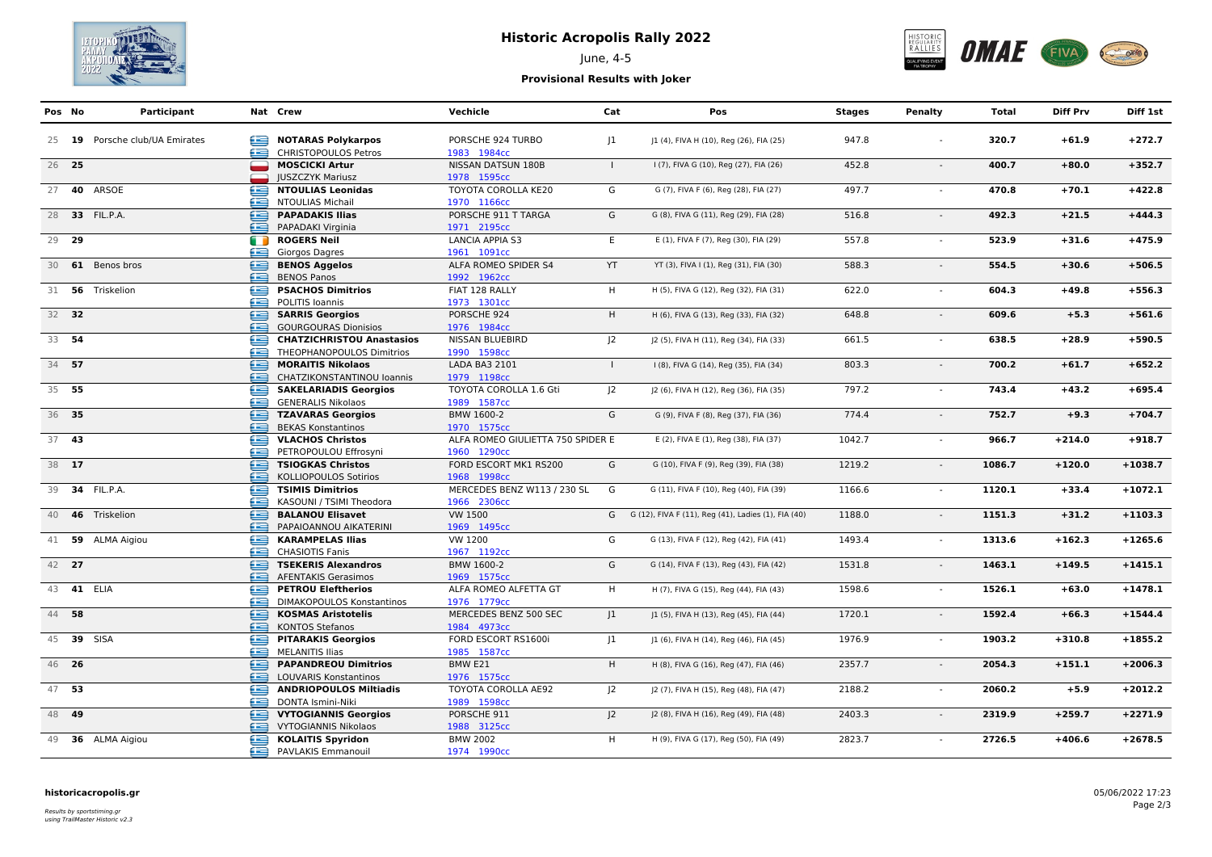

# **Historic Acropolis Rally 2022**



# June, 4-5

### **Provisional Results with Joker**

| Pos No | Participant                    |   | Nat Crew                         | Vechicle                          | Cat          | Pos                                                   | Stages | Penalty | Total  | <b>Diff Prv</b> | Diff 1st  |
|--------|--------------------------------|---|----------------------------------|-----------------------------------|--------------|-------------------------------------------------------|--------|---------|--------|-----------------|-----------|
|        | 25 19 Porsche club/UA Emirates | æ | <b>NOTARAS Polykarpos</b>        | PORSCHE 924 TURBO                 | 1            | J1 (4), FIVA H (10), Reg (26), FIA (25)               | 947.8  |         | 320.7  | $+61.9$         | $+272.7$  |
|        |                                | æ | <b>CHRISTOPOULOS Petros</b>      | 1983 1984cc                       |              |                                                       |        |         |        |                 |           |
| 26 25  |                                | ▄ | <b>MOSCICKI Artur</b>            | NISSAN DATSUN 180B                | $\mathbf{L}$ | I (7), FIVA G (10), Reg (27), FIA (26)                | 452.8  | $\sim$  | 400.7  | $+80.0$         | $+352.7$  |
|        |                                |   | <b>JUSZCZYK Mariusz</b>          | 1978 1595cc                       |              |                                                       |        |         |        |                 |           |
|        | 27 <b>40</b> ARSOE             | œ | <b>NTOULIAS Leonidas</b>         | TOYOTA COROLLA KE20               | G            | G (7), FIVA F (6), Reg (28), FIA (27)                 | 497.7  |         | 470.8  | $+70.1$         | $+422.8$  |
|        |                                | £ | <b>NTOULIAS Michail</b>          | 1970 1166cc                       |              |                                                       |        |         |        |                 |           |
|        | 28 33 FIL.P.A.                 | ⋐ | <b>PAPADAKIS Ilias</b>           | PORSCHE 911 T TARGA               | G            | G (8), FIVA G (11), Reg (29), FIA (28)                | 516.8  | $\sim$  | 492.3  | $+21.5$         | $+444.3$  |
|        |                                | æ | PAPADAKI Virginia                | 1971 2195cc                       |              |                                                       |        |         |        |                 |           |
| 29 29  |                                | m | <b>ROGERS Neil</b>               | <b>LANCIA APPIA S3</b>            | E            | E (1), FIVA F (7), Reg (30), FIA (29)                 | 557.8  | $\sim$  | 523.9  | $+31.6$         | $+475.9$  |
|        |                                | œ | Giorgos Dagres                   | 1961 1091cc                       |              |                                                       |        |         |        |                 |           |
|        | 30 61 Benos bros               | 鱼 | <b>BENOS Aggelos</b>             | ALFA ROMEO SPIDER S4              | YT           | YT (3), FIVA I (1), Reg (31), FIA (30)                | 588.3  |         | 554.5  | $+30.6$         | $+506.5$  |
|        |                                | æ | <b>BENOS Panos</b>               | 1992 1962cc                       |              |                                                       |        |         |        |                 |           |
|        | 31 56 Triskelion               | ⊜ | <b>PSACHOS Dimitrios</b>         | FIAT 128 RALLY                    | H            | H (5), FIVA G (12), Reg (32), FIA (31)                | 622.0  |         | 604.3  | $+49.8$         | $+556.3$  |
|        |                                | œ | POLITIS Ioannis                  | 1973 1301cc                       |              |                                                       |        |         |        |                 |           |
| 32 32  |                                | ఆ | <b>SARRIS Georgios</b>           | PORSCHE 924                       | H.           | H (6), FIVA G (13), Reg (33), FIA (32)                | 648.8  |         | 609.6  | $+5.3$          | $+561.6$  |
|        |                                | æ | <b>GOURGOURAS Dionisios</b>      | 1976 1984cc                       |              |                                                       |        |         |        |                 |           |
| 33 54  |                                | £ | <b>CHATZICHRISTOU Anastasios</b> | NISSAN BLUEBIRD                   | 2            | J2 (5), FIVA H (11), Reg (34), FIA (33)               | 661.5  | $\sim$  | 638.5  | $+28.9$         | $+590.5$  |
|        |                                | £ | THEOPHANOPOULOS Dimitrios        | 1990 1598cc                       |              |                                                       |        |         |        |                 |           |
| 34 57  |                                | ≘ | <b>MORAITIS Nikolaos</b>         | LADA BA3 2101                     | $\mathbf{L}$ | I (8), FIVA G (14), Reg (35), FIA (34)                | 803.3  | $\sim$  | 700.2  | $+61.7$         | $+652.2$  |
|        |                                | œ | CHATZIKONSTANTINOU Ioannis       | 1979 1198cc                       |              |                                                       |        |         |        |                 |           |
| 35 55  |                                | £ | <b>SAKELARIADIS Georgios</b>     | TOYOTA COROLLA 1.6 Gti            | 2            | J2 (6), FIVA H (12), Reg (36), FIA (35)               | 797.2  |         | 743.4  | $+43.2$         | $+695.4$  |
|        |                                | æ | <b>GENERALIS Nikolaos</b>        | 1989 1587cc                       |              |                                                       |        |         |        |                 |           |
| 36 35  |                                | œ | <b>TZAVARAS Georgios</b>         | BMW 1600-2                        | G            | G (9), FIVA F (8), Reg (37), FIA (36)                 | 774.4  | $\sim$  | 752.7  | $+9.3$          | $+704.7$  |
|        |                                | æ | <b>BEKAS Konstantinos</b>        | 1970 1575cc                       |              |                                                       |        |         |        |                 |           |
| 37 43  |                                | £ | <b>VLACHOS Christos</b>          | ALFA ROMEO GIULIETTA 750 SPIDER E |              | E (2), FIVA E (1), Reg (38), FIA (37)                 | 1042.7 | $\sim$  | 966.7  | $+214.0$        | $+918.7$  |
|        |                                | £ | PETROPOULOU Effrosyni            | 1960 1290cc                       |              |                                                       |        |         |        |                 |           |
| 38 17  |                                | ∈ | <b>TSIOGKAS Christos</b>         | FORD ESCORT MK1 RS200             | G            | G (10), FIVA F (9), Reg (39), FIA (38)                | 1219.2 | $\sim$  | 1086.7 | $+120.0$        | $+1038.7$ |
|        |                                | æ | KOLLIOPOULOS Sotirios            | 1968 1998cc                       |              |                                                       |        |         |        |                 |           |
|        | 39 34 FIL.P.A.                 | ఆ | <b>TSIMIS Dimitrios</b>          | MERCEDES BENZ W113 / 230 SL       | G            | G (11), FIVA F (10), Reg (40), FIA (39)               | 1166.6 | $\sim$  | 1120.1 | $+33.4$         | $+1072.1$ |
|        |                                | æ | KASOUNI / TSIMI Theodora         | 1966 2306сс                       |              |                                                       |        |         |        |                 |           |
|        | 40 46 Triskelion               | e | <b>BALANOU Elisavet</b>          | VW 1500                           |              | G G (12), FIVA F (11), Reg (41), Ladies (1), FIA (40) | 1188.0 | $\sim$  | 1151.3 | $+31.2$         | $+1103.3$ |
|        |                                | œ | PAPAIOANNOU AIKATERINI           | 1969 1495cc                       |              |                                                       |        |         |        |                 |           |
|        | 41 59 ALMA Aigiou              | G | <b>KARAMPELAS Ilias</b>          | VW 1200                           | G            | G (13), FIVA F (12), Reg (42), FIA (41)               | 1493.4 | $\sim$  | 1313.6 | $+162.3$        | $+1265.6$ |
|        |                                | œ | <b>CHASIOTIS Fanis</b>           | 1967 1192cc                       |              |                                                       |        |         |        |                 |           |
| 42 27  |                                | ≘ | <b>TSEKERIS Alexandros</b>       | BMW 1600-2                        | G            | G (14), FIVA F (13), Reg (43), FIA (42)               | 1531.8 | $\sim$  | 1463.1 | $+149.5$        | $+1415.1$ |
|        |                                | æ | <b>AFENTAKIS Gerasimos</b>       | 1969 1575cc                       |              |                                                       |        |         |        |                 |           |
|        | 43 41 ELIA                     | £ | <b>PETROU Eleftherios</b>        | ALFA ROMEO ALFETTA GT             | H.           | H (7), FIVA G (15), Reg (44), FIA (43)                | 1598.6 | $\sim$  | 1526.1 | $+63.0$         | $+1478.1$ |
|        |                                | œ | DIMAKOPOULOS Konstantinos        | 1976 1779cc                       |              |                                                       |        |         |        |                 |           |
| 44 58  |                                | £ | <b>KOSMAS Aristotelis</b>        | MERCEDES BENZ 500 SEC             | 1            | J1 (5), FIVA H (13), Reg (45), FIA (44)               | 1720.1 | $\sim$  | 1592.4 | $+66.3$         | $+1544.4$ |
|        |                                | œ | <b>KONTOS Stefanos</b>           | 1984 4973cc                       |              |                                                       |        |         |        |                 |           |
|        | 45 39 SISA                     | £ | <b>PITARAKIS Georgios</b>        | FORD ESCORT RS1600i               | 1            | J1 (6), FIVA H (14), Reg (46), FIA (45)               | 1976.9 | $\sim$  | 1903.2 | $+310.8$        | $+1855.2$ |
|        |                                | æ | <b>MELANITIS Ilias</b>           | 1985 1587cc                       |              |                                                       |        |         |        |                 |           |
| 46 26  |                                | ≘ | <b>PAPANDREOU Dimitrios</b>      | BMW E21                           | H.           | H (8), FIVA G (16), Reg (47), FIA (46)                | 2357.7 | $\sim$  | 2054.3 | $+151.1$        | $+2006.3$ |
|        |                                | æ | LOUVARIS Konstantinos            | 1976 1575cc                       |              |                                                       |        |         |        |                 |           |
| 47 53  |                                | e | <b>ANDRIOPOULOS Miltiadis</b>    | TOYOTA COROLLA AE92               | 2            | J2 (7), FIVA H (15), Reg (48), FIA (47)               | 2188.2 | $\sim$  | 2060.2 | $+5.9$          | $+2012.2$ |
|        |                                | æ | DONTA Ismini-Niki                | 1989 1598cc                       |              |                                                       |        |         |        |                 |           |
| 48 49  |                                | ఆ | <b>VYTOGIANNIS Georgios</b>      | PORSCHE 911                       | $J^2$        | J2 (8), FIVA H (16), Reg (49), FIA (48)               | 2403.3 | $\sim$  | 2319.9 | $+259.7$        | $+2271.9$ |
|        |                                | æ | <b>VYTOGIANNIS Nikolaos</b>      | 1988 3125cc                       |              |                                                       |        |         |        |                 |           |
|        | 49 36 ALMA Aigiou              | € | <b>KOLAITIS Spyridon</b>         | <b>BMW 2002</b>                   | H            | H (9), FIVA G (17), Reg (50), FIA (49)                | 2823.7 |         | 2726.5 | $+406.6$        | $+2678.5$ |
|        |                                | æ | PAVLAKIS Emmanouil               | 1974 1990сс                       |              |                                                       |        |         |        |                 |           |